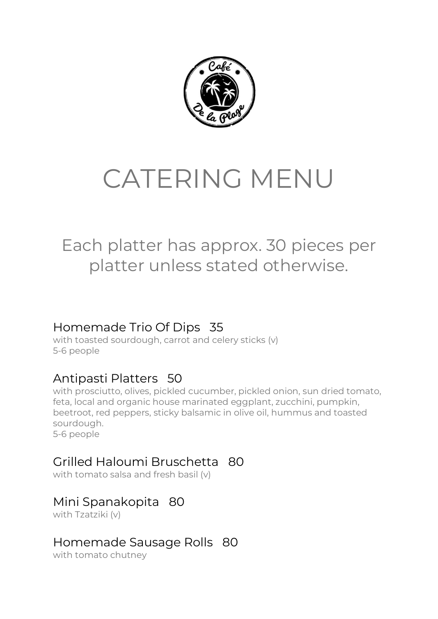

# CATERING MENU

## Each platter has approx. 30 pieces per platter unless stated otherwise.

#### Homemade Trio Of Dips 35

with toasted sourdough, carrot and celery sticks (v) 5-6 people

#### Antipasti Platters 50

with prosciutto, olives, pickled cucumber, pickled onion, sun dried tomato, feta, local and organic house marinated eggplant, zucchini, pumpkin, beetroot, red peppers, sticky balsamic in olive oil, hummus and toasted sourdough. 5-6 people

### Grilled Haloumi Bruschetta 80

with tomato salsa and fresh basil (v)

#### Mini Spanakopita 80

with Tzatziki (v)

#### Homemade Sausage Rolls 80

with tomato chutney